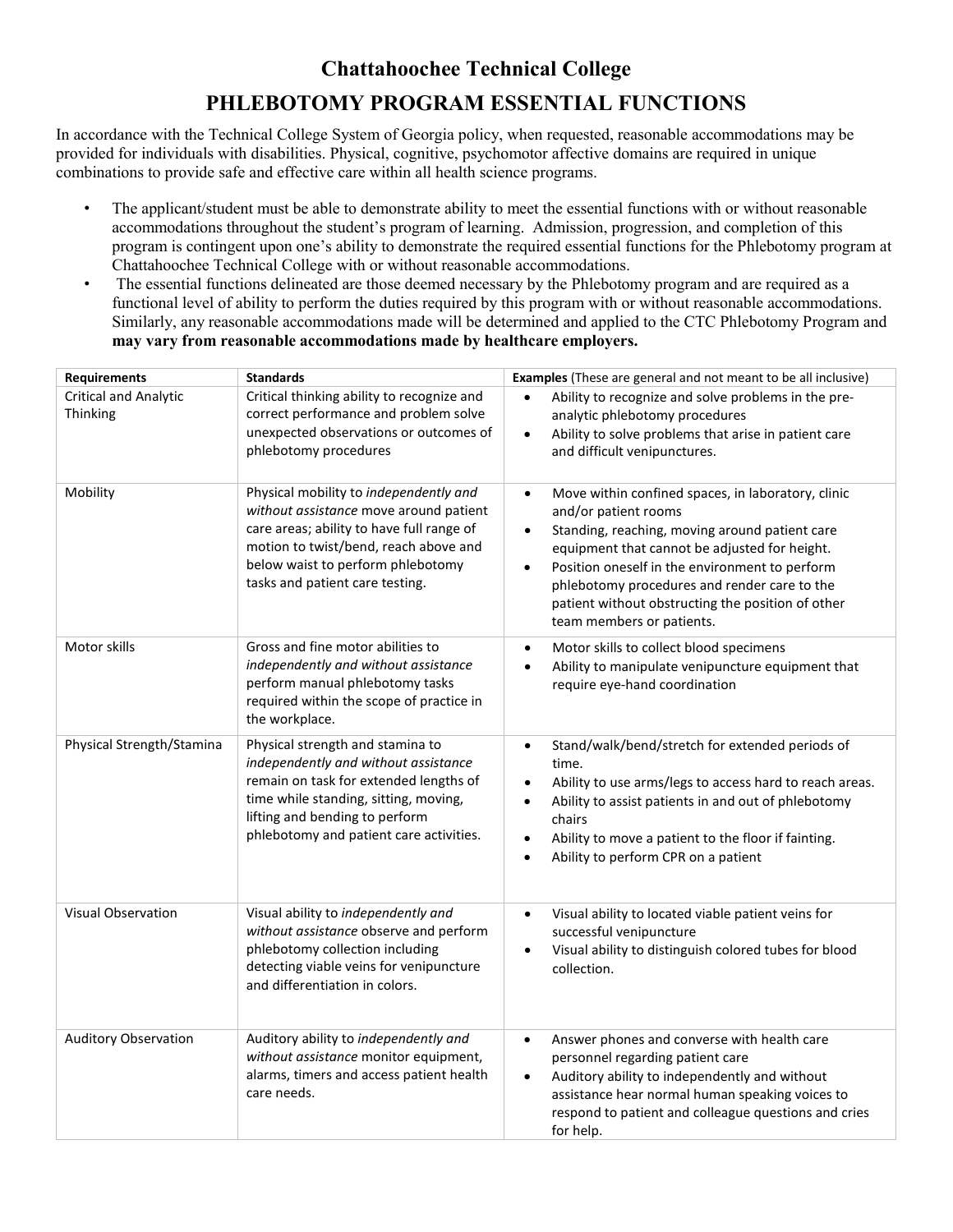## **Chattahoochee Technical College**

## **PHLEBOTOMY PROGRAM ESSENTIAL FUNCTIONS**

In accordance with the Technical College System of Georgia policy, when requested, reasonable accommodations may be provided for individuals with disabilities. Physical, cognitive, psychomotor affective domains are required in unique combinations to provide safe and effective care within all health science programs.

- The applicant/student must be able to demonstrate ability to meet the essential functions with or without reasonable accommodations throughout the student's program of learning. Admission, progression, and completion of this program is contingent upon one's ability to demonstrate the required essential functions for the Phlebotomy program at Chattahoochee Technical College with or without reasonable accommodations.
- The essential functions delineated are those deemed necessary by the Phlebotomy program and are required as a functional level of ability to perform the duties required by this program with or without reasonable accommodations. Similarly, any reasonable accommodations made will be determined and applied to the CTC Phlebotomy Program and **may vary from reasonable accommodations made by healthcare employers.**

| <b>Requirements</b>                             | <b>Standards</b>                                                                                                                                                                                                                               | <b>Examples</b> (These are general and not meant to be all inclusive)                                                                                                                                                                                                                                                                                                                       |
|-------------------------------------------------|------------------------------------------------------------------------------------------------------------------------------------------------------------------------------------------------------------------------------------------------|---------------------------------------------------------------------------------------------------------------------------------------------------------------------------------------------------------------------------------------------------------------------------------------------------------------------------------------------------------------------------------------------|
| <b>Critical and Analytic</b><br><b>Thinking</b> | Critical thinking ability to recognize and<br>correct performance and problem solve<br>unexpected observations or outcomes of<br>phlebotomy procedures                                                                                         | Ability to recognize and solve problems in the pre-<br>analytic phlebotomy procedures<br>Ability to solve problems that arise in patient care<br>$\bullet$<br>and difficult venipunctures.                                                                                                                                                                                                  |
| Mobility                                        | Physical mobility to independently and<br>without assistance move around patient<br>care areas; ability to have full range of<br>motion to twist/bend, reach above and<br>below waist to perform phlebotomy<br>tasks and patient care testing. | Move within confined spaces, in laboratory, clinic<br>$\bullet$<br>and/or patient rooms<br>Standing, reaching, moving around patient care<br>equipment that cannot be adjusted for height.<br>Position oneself in the environment to perform<br>$\bullet$<br>phlebotomy procedures and render care to the<br>patient without obstructing the position of other<br>team members or patients. |
| Motor skills                                    | Gross and fine motor abilities to<br>independently and without assistance<br>perform manual phlebotomy tasks<br>required within the scope of practice in<br>the workplace.                                                                     | Motor skills to collect blood specimens<br>$\bullet$<br>Ability to manipulate venipuncture equipment that<br>require eye-hand coordination                                                                                                                                                                                                                                                  |
| Physical Strength/Stamina                       | Physical strength and stamina to<br>independently and without assistance<br>remain on task for extended lengths of<br>time while standing, sitting, moving,<br>lifting and bending to perform<br>phlebotomy and patient care activities.       | Stand/walk/bend/stretch for extended periods of<br>$\bullet$<br>time.<br>Ability to use arms/legs to access hard to reach areas.<br>$\bullet$<br>Ability to assist patients in and out of phlebotomy<br>$\bullet$<br>chairs<br>Ability to move a patient to the floor if fainting.<br>Ability to perform CPR on a patient                                                                   |
| <b>Visual Observation</b>                       | Visual ability to independently and<br>without assistance observe and perform<br>phlebotomy collection including<br>detecting viable veins for venipuncture<br>and differentiation in colors.                                                  | Visual ability to located viable patient veins for<br>successful venipuncture<br>Visual ability to distinguish colored tubes for blood<br>$\bullet$<br>collection.                                                                                                                                                                                                                          |
| <b>Auditory Observation</b>                     | Auditory ability to independently and<br>without assistance monitor equipment,<br>alarms, timers and access patient health<br>care needs.                                                                                                      | Answer phones and converse with health care<br>personnel regarding patient care<br>Auditory ability to independently and without<br>$\bullet$<br>assistance hear normal human speaking voices to<br>respond to patient and colleague questions and cries<br>for help.                                                                                                                       |